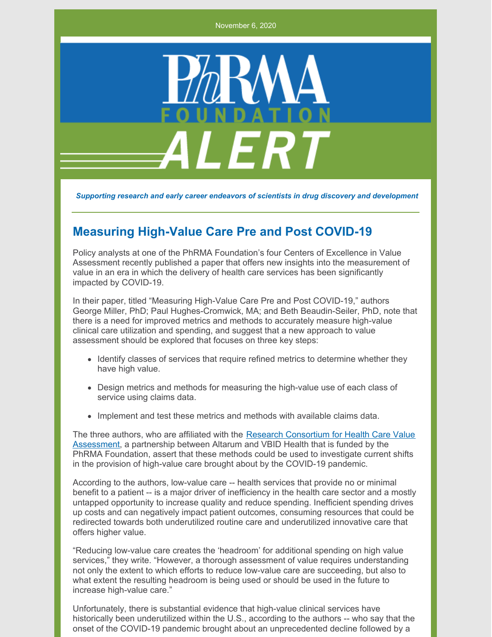November 6, 2020



*Supporting research and early career endeavors of scientists in drug discovery and development*

## **Measuring High-Value Care Pre and Post COVID-19**

Policy analysts at one of the PhRMA Foundation's four Centers of Excellence in Value Assessment recently published a paper that offers new insights into the measurement of value in an era in which the delivery of health care services has been significantly impacted by COVID-19.

In their paper, titled "Measuring High-Value Care Pre and Post COVID-19," authors George Miller, PhD; Paul Hughes-Cromwick, MA; and Beth Beaudin-Seiler, PhD, note that there is a need for improved metrics and methods to accurately measure high-value clinical care utilization and spending, and suggest that a new approach to value assessment should be explored that focuses on three key steps:

- Identify classes of services that require refined metrics to determine whether they have high value.
- Design metrics and methods for measuring the high-value use of each class of service using claims data.
- Implement and test these metrics and methods with available claims data.

The three authors, who are affiliated with the Research Consortium for Health Care Value [Assessment,](https://www.hcvalueassessment.org/) a partnership between Altarum and VBID Health that is funded by the PhRMA Foundation, assert that these methods could be used to investigate current shifts in the provision of high-value care brought about by the COVID-19 pandemic.

According to the authors, low-value care -- health services that provide no or minimal benefit to a patient -- is a major driver of inefficiency in the health care sector and a mostly untapped opportunity to increase quality and reduce spending. Inefficient spending drives up costs and can negatively impact patient outcomes, consuming resources that could be redirected towards both underutilized routine care and underutilized innovative care that offers higher value.

"Reducing low-value care creates the 'headroom' for additional spending on high value services," they write. "However, a thorough assessment of value requires understanding not only the extent to which efforts to reduce low-value care are succeeding, but also to what extent the resulting headroom is being used or should be used in the future to increase high-value care."

Unfortunately, there is substantial evidence that high-value clinical services have historically been underutilized within the U.S., according to the authors -- who say that the onset of the COVID-19 pandemic brought about an unprecedented decline followed by a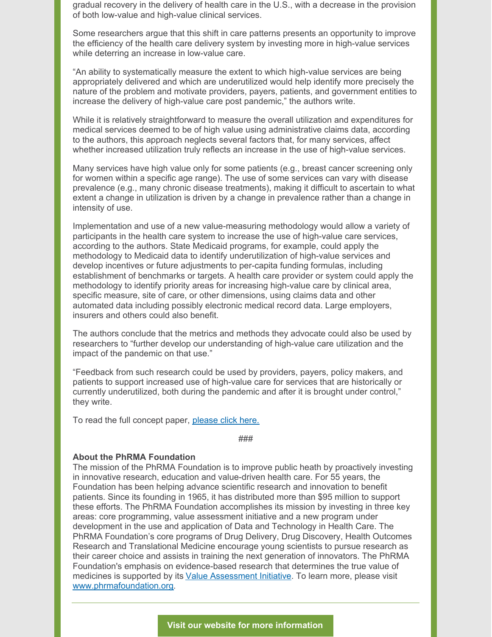gradual recovery in the delivery of health care in the U.S., with a decrease in the provision of both low-value and high-value clinical services.

Some researchers argue that this shift in care patterns presents an opportunity to improve the efficiency of the health care delivery system by investing more in high-value services while deterring an increase in low-value care.

"An ability to systematically measure the extent to which high-value services are being appropriately delivered and which are underutilized would help identify more precisely the nature of the problem and motivate providers, payers, patients, and government entities to increase the delivery of high-value care post pandemic," the authors write.

While it is relatively straightforward to measure the overall utilization and expenditures for medical services deemed to be of high value using administrative claims data, according to the authors, this approach neglects several factors that, for many services, affect whether increased utilization truly reflects an increase in the use of high-value services.

Many services have high value only for some patients (e.g., breast cancer screening only for women within a specific age range). The use of some services can vary with disease prevalence (e.g., many chronic disease treatments), making it difficult to ascertain to what extent a change in utilization is driven by a change in prevalence rather than a change in intensity of use.

Implementation and use of a new value-measuring methodology would allow a variety of participants in the health care system to increase the use of high-value care services, according to the authors. State Medicaid programs, for example, could apply the methodology to Medicaid data to identify underutilization of high-value services and develop incentives or future adjustments to per-capita funding formulas, including establishment of benchmarks or targets. A health care provider or system could apply the methodology to identify priority areas for increasing high-value care by clinical area, specific measure, site of care, or other dimensions, using claims data and other automated data including possibly electronic medical record data. Large employers, insurers and others could also benefit.

The authors conclude that the metrics and methods they advocate could also be used by researchers to "further develop our understanding of high-value care utilization and the impact of the pandemic on that use."

"Feedback from such research could be used by providers, payers, policy makers, and patients to support increased use of high-value care for services that are historically or currently underutilized, both during the pandemic and after it is brought under control," they write.

To read the full concept paper, [please](http://www.phrmafoundation.org/wp-content/uploads/2020/10/Concept_Paper_No._8_-_Measuring_High-Value_Care_Pre_and_Post_COVID-19.pdf) click here.

###

## **About the PhRMA Foundation**

The mission of the PhRMA Foundation is to improve public heath by proactively investing in innovative research, education and value-driven health care. For 55 years, the Foundation has been helping advance scientific research and innovation to benefit patients. Since its founding in 1965, it has distributed more than \$95 million to support these efforts. The PhRMA Foundation accomplishes its mission by investing in three key areas: core programming, value assessment initiative and a new program under development in the use and application of Data and Technology in Health Care. The PhRMA Foundation's core programs of Drug Delivery, Drug Discovery, Health Outcomes Research and Translational Medicine encourage young scientists to pursue research as their career choice and assists in training the next generation of innovators. The PhRMA Foundation's emphasis on evidence-based research that determines the true value of medicines is supported by its Value [Assessment](http://www.phrmafoundation.org/about-the-phrma-foundations-value-assessment-initiative/) Initiative. To learn more, please visit [www.phrmafoundation.org](http://www.phrmafoundation.org).